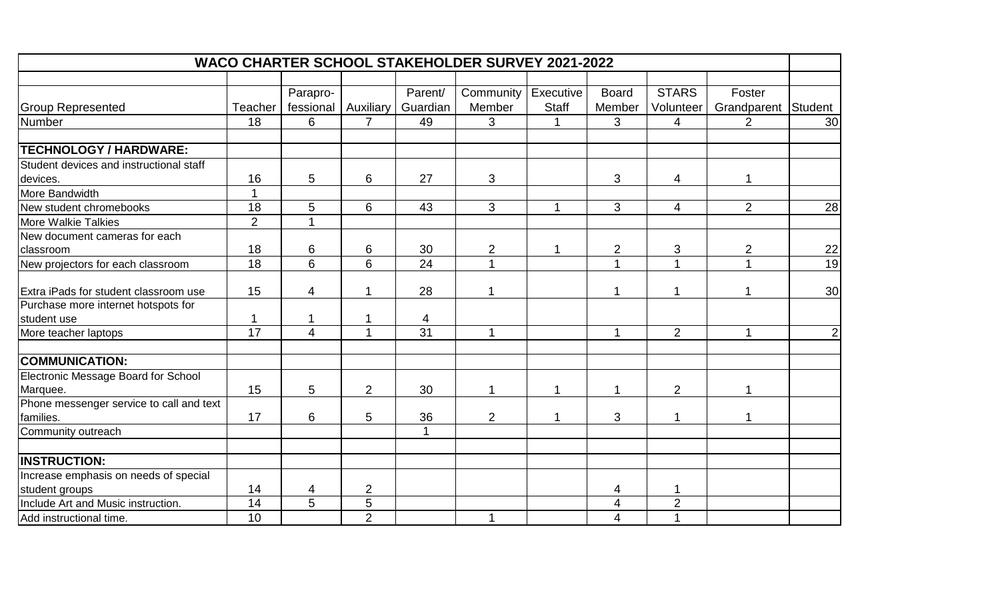| <b>WACO CHARTER SCHOOL STAKEHOLDER SURVEY 2021-2022</b> |                |                 |                      |                      |                      |                      |                          |                |                     |                 |
|---------------------------------------------------------|----------------|-----------------|----------------------|----------------------|----------------------|----------------------|--------------------------|----------------|---------------------|-----------------|
|                                                         |                |                 |                      |                      |                      |                      |                          |                |                     |                 |
|                                                         |                | Parapro-        |                      | Parent/              | Community            | Executive            | <b>Board</b>             | <b>STARS</b>   | Foster              |                 |
| <b>Group Represented</b>                                | <b>Teacher</b> | fessional       | Auxiliary            | Guardian             | Member               | <b>Staff</b>         | Member                   | Volunteer      | Grandparent Student |                 |
| Number                                                  | 18             | 6               | $\overline{7}$       | 49                   | 3                    |                      | 3                        | 4              | 2                   | 30              |
|                                                         |                |                 |                      |                      |                      |                      |                          |                |                     |                 |
| <b>TECHNOLOGY / HARDWARE:</b>                           |                |                 |                      |                      |                      |                      |                          |                |                     |                 |
| Student devices and instructional staff                 |                |                 |                      |                      |                      |                      |                          |                |                     |                 |
| devices.                                                | 16             | 5               | 6                    | 27                   | 3                    |                      | 3                        | 4              |                     |                 |
| More Bandwidth                                          | $\mathbf{1}$   |                 |                      |                      |                      |                      |                          |                |                     |                 |
| New student chromebooks                                 | 18             | $5\phantom{.0}$ | 6                    | 43                   | 3                    | $\blacktriangleleft$ | 3                        | $\overline{4}$ | 2                   | 28              |
| <b>More Walkie Talkies</b>                              | $\overline{2}$ | $\overline{1}$  |                      |                      |                      |                      |                          |                |                     |                 |
| New document cameras for each                           |                |                 |                      |                      |                      |                      |                          |                |                     |                 |
| classroom                                               | 18             | 6               | 6                    | 30                   | $\overline{2}$       | $\mathbf 1$          | $\overline{2}$           | 3              | $\overline{2}$      | $\frac{22}{19}$ |
| New projectors for each classroom                       | 18             | 6               | 6                    | 24                   | $\mathbf{1}$         |                      | 1                        | $\mathbf{1}$   | $\mathbf 1$         |                 |
|                                                         |                |                 |                      |                      |                      |                      |                          |                |                     |                 |
| Extra iPads for student classroom use                   | 15             | $\overline{4}$  | 1                    | 28                   |                      |                      | 1                        | 1              | 1                   | 30              |
| Purchase more internet hotspots for                     |                |                 |                      |                      |                      |                      |                          |                |                     |                 |
| student use                                             | 1              |                 |                      | 4                    |                      |                      |                          |                |                     |                 |
| More teacher laptops                                    | 17             | $\overline{4}$  | $\blacktriangleleft$ | $\overline{31}$      | $\blacktriangleleft$ |                      | $\mathbf 1$              | 2              | $\mathbf{1}$        | $\overline{2}$  |
| <b>COMMUNICATION:</b>                                   |                |                 |                      |                      |                      |                      |                          |                |                     |                 |
| Electronic Message Board for School                     |                |                 |                      |                      |                      |                      |                          |                |                     |                 |
| Marquee.                                                | 15             | 5               | $\overline{2}$       | 30                   | 1                    | 1                    | 1                        | 2              | 1                   |                 |
| Phone messenger service to call and text                |                |                 |                      |                      |                      |                      |                          |                |                     |                 |
| families.                                               | 17             | 6               | 5                    | 36                   | $\overline{2}$       |                      | 3                        | 1              | 1                   |                 |
| Community outreach                                      |                |                 |                      | $\blacktriangleleft$ |                      |                      |                          |                |                     |                 |
|                                                         |                |                 |                      |                      |                      |                      |                          |                |                     |                 |
| <b>INSTRUCTION:</b>                                     |                |                 |                      |                      |                      |                      |                          |                |                     |                 |
| Increase emphasis on needs of special                   |                |                 |                      |                      |                      |                      |                          |                |                     |                 |
| student groups                                          | 14             | 4               | $\overline{2}$       |                      |                      |                      | 4                        | 1              |                     |                 |
| Include Art and Music instruction.                      | 14             | 5               | 5                    |                      |                      |                      | $\overline{\mathcal{A}}$ | $\overline{2}$ |                     |                 |
| Add instructional time.                                 | 10             |                 | $\overline{2}$       |                      |                      |                      | 4                        | $\mathbf{1}$   |                     |                 |